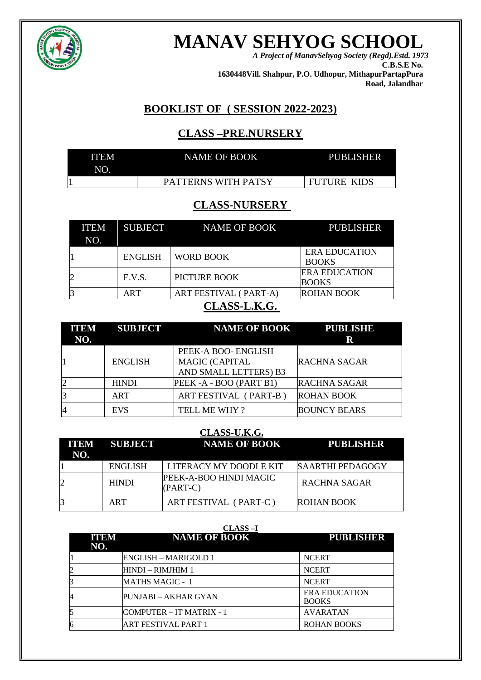

# **MANAV SEHYOG SCHOOL** *A Project of ManavSehyog Society (Regd).Estd. 1973*

**C.B.S.E No. 1630448Vill. Shahpur, P.O. Udhopur, MithapurPartapPura Road, Jalandhar**

# **BOOKLIST OF ( SESSION 2022-2023)**

# **CLASS –PRE.NURSERY**

| <b>ITEM</b> | <b>NAME OF BOOK</b> | <b>PUBLISHER</b>   |
|-------------|---------------------|--------------------|
| NO.         |                     |                    |
|             | PATTERNS WITH PATSY | <b>FUTURE KIDS</b> |

# **CLASS-NURSERY**

| <b>ITEM</b><br>NO.        | <b>SUBJECT</b> | NAME OF BOOK          | <b>PUBLISHER</b>                     |
|---------------------------|----------------|-----------------------|--------------------------------------|
|                           | <b>ENGLISH</b> | <b>WORD BOOK</b>      | <b>ERA EDUCATION</b><br><b>BOOKS</b> |
|                           | E.V.S.         | <b>PICTURE BOOK</b>   | <b>ERA EDUCATION</b><br><b>BOOKS</b> |
|                           | ART            | ART FESTIVAL (PART-A) | <b>ROHAN BOOK</b>                    |
| $\alpha$ and the $\alpha$ |                |                       |                                      |

# **CLASS-L.K.G.**

| <b>ITEM</b><br>NO.       | <b>SUBJECT</b> | <b>NAME OF BOOK</b>   | <b>PUBLISHE</b><br>R |
|--------------------------|----------------|-----------------------|----------------------|
|                          |                | PEEK-A BOO- ENGLISH   |                      |
|                          | <b>ENGLISH</b> | <b>MAGIC (CAPITAL</b> | <b>RACHNA SAGAR</b>  |
|                          |                | AND SMALL LETTERS) B3 |                      |
|                          | <b>HINDI</b>   | PEEK-A-BOO (PART B1)  | <b>RACHNA SAGAR</b>  |
| 13                       | <b>ART</b>     | ART FESTIVAL (PART-B) | <b>ROHAN BOOK</b>    |
| $\overline{\mathcal{L}}$ | <b>EVS</b>     | TELL ME WHY?          | <b>BOUNCY BEARS</b>  |

| CLASS-U.K.G. |                     |                                    |                         |  |
|--------------|---------------------|------------------------------------|-------------------------|--|
| NO.          | <b>ITEM SUBJECT</b> | <b>NAME OF BOOK</b>                | <b>PUBLISHER</b>        |  |
|              | <b>ENGLISH</b>      | LITERACY MY DOODLE KIT             | <b>SAARTHI PEDAGOGY</b> |  |
| 12           | <b>HINDI</b>        | PEEK-A-BOO HINDI MAGIC<br>(PART-C) | <b>RACHNA SAGAR</b>     |  |
| 3            | ART                 | ART FESTIVAL (PART-C)              | <b>ROHAN BOOK</b>       |  |

|                    | <b>CLASS-I</b>           |                                      |
|--------------------|--------------------------|--------------------------------------|
| <b>ITEM</b><br>NO. | <b>NAME OF BOOK</b>      | <b>PUBLISHER</b>                     |
|                    | ENGLISH – MARIGOLD 1     | <b>NCERT</b>                         |
|                    | HINDI – RIMJHIM 1        | <b>NCERT</b>                         |
|                    | <b>MATHS MAGIC - 1</b>   | <b>NCERT</b>                         |
|                    | PUNJABI – AKHAR GYAN     | <b>ERA EDUCATION</b><br><b>BOOKS</b> |
|                    | COMPUTER – IT MATRIX - 1 | <b>AVARATAN</b>                      |
|                    | ART FESTIVAL PART 1      | <b>ROHAN BOOKS</b>                   |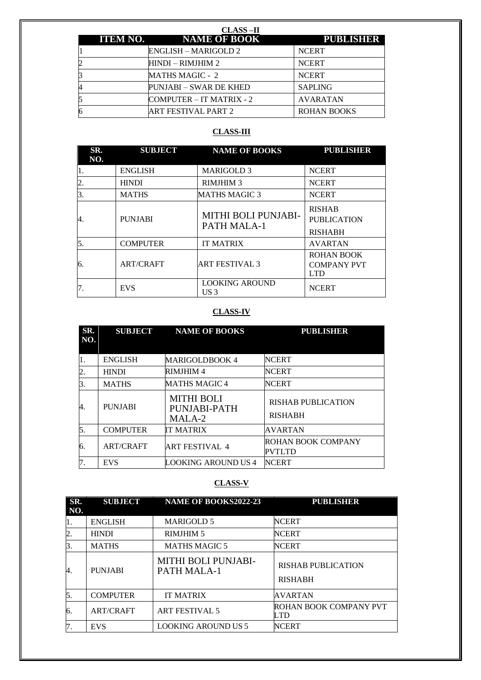|  | <b>CLASS-II</b>              |                    |
|--|------------------------------|--------------------|
|  | <b>ITEM NO. NAME OF BOOK</b> | <b>PUBLISHER</b>   |
|  | ENGLISH – MARIGOLD 2         | <b>NCERT</b>       |
|  | HINDI – RIMJHIM 2            | <b>NCERT</b>       |
|  | <b>MATHS MAGIC - 2</b>       | <b>NCERT</b>       |
|  | PUNJABI – SWAR DE KHED       | <b>SAPLING</b>     |
|  | COMPUTER – IT MATRIX - 2     | <b>AVARATAN</b>    |
|  | ART FESTIVAL PART 2          | <b>ROHAN BOOKS</b> |

## **CLASS-III**

| SR.<br>NO. | <b>SUBJECT</b>   | <b>NAME OF BOOKS</b>                     | <b>PUBLISHER</b>                                      |
|------------|------------------|------------------------------------------|-------------------------------------------------------|
|            | <b>ENGLISH</b>   | <b>MARIGOLD 3</b>                        | <b>NCERT</b>                                          |
| 2.         | <b>HINDI</b>     | <b>RIMJHIM 3</b>                         | <b>NCERT</b>                                          |
| 3.         | <b>MATHS</b>     | <b>MATHS MAGIC 3</b>                     | <b>NCERT</b>                                          |
| 4.         | <b>PUNJABI</b>   | MITHI BOLI PUNJABI-<br>PATH MALA-1       | <b>RISHAB</b><br><b>PUBLICATION</b><br><b>RISHABH</b> |
| 5.         | <b>COMPUTER</b>  | <b>IT MATRIX</b>                         | <b>AVARTAN</b>                                        |
| б.         | <b>ART/CRAFT</b> | <b>ART FESTIVAL 3</b>                    | <b>ROHAN BOOK</b><br><b>COMPANY PVT</b><br><b>LTD</b> |
|            | <b>EVS</b>       | <b>LOOKING AROUND</b><br>US <sub>3</sub> | <b>NCERT</b>                                          |

### **CLASS-IV**

| SR.<br>NO. | <b>SUBJECT</b>   | <b>NAME OF BOOKS</b>                        | <b>PUBLISHER</b>                            |
|------------|------------------|---------------------------------------------|---------------------------------------------|
| 1.         | <b>ENGLISH</b>   | <b>MARIGOLDBOOK 4</b>                       | <b>NCERT</b>                                |
| 2.         | <b>HINDI</b>     | <b>RIMJHIM4</b>                             | <b>NCERT</b>                                |
| Β.         | <b>MATHS</b>     | <b>MATHS MAGIC4</b>                         | <b>NCERT</b>                                |
| 4.         | <b>PUNJABI</b>   | <b>MITHI BOLI</b><br>PUNJABI-PATH<br>MALA-2 | <b>RISHAB PUBLICATION</b><br><b>RISHABH</b> |
| 5.         | <b>COMPUTER</b>  | <b>IT MATRIX</b>                            | <b>AVARTAN</b>                              |
| 6.         | <b>ART/CRAFT</b> | <b>ART FESTIVAL 4</b>                       | ROHAN BOOK COMPANY<br><b>PVTLTD</b>         |
| 7.         | <b>EVS</b>       | LOOKING AROUND US 4                         | <b>NCERT</b>                                |

## **CLASS-V**

| SR.<br>NO. | <b>SUBJECT</b>   | <b>NAME OF BOOKS2022-23</b>               | <b>PUBLISHER</b>                            |
|------------|------------------|-------------------------------------------|---------------------------------------------|
|            | <b>ENGLISH</b>   | <b>MARIGOLD 5</b>                         | <b>NCERT</b>                                |
|            | <b>HINDI</b>     | <b>RIMJHIM 5</b>                          | <b>NCERT</b>                                |
| В.         | <b>MATHS</b>     | <b>MATHS MAGIC 5</b>                      | <b>NCERT</b>                                |
| 4.         | <b>PUNJABI</b>   | MITHI BOLI PUNJABI-<br><b>PATH MALA-1</b> | <b>RISHAB PUBLICATION</b><br><b>RISHABH</b> |
| 5.         | <b>COMPUTER</b>  | <b>IT MATRIX</b>                          | <b>AVARTAN</b>                              |
| 6.         | <b>ART/CRAFT</b> | <b>ART FESTIVAL 5</b>                     | <b>ROHAN BOOK COMPANY PVT</b><br>LTD        |
|            | <b>EVS</b>       | <b>LOOKING AROUND US 5</b>                | <b>NCERT</b>                                |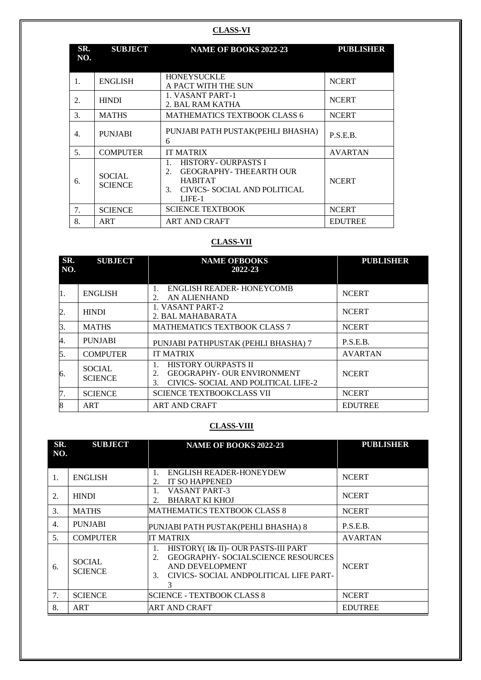#### **CLASS-VI**

| SR.<br>NO. | <b>SUBJECT</b>                  | <b>NAME OF BOOKS 2022-23</b>                                                                                                       | <b>PUBLISHER</b> |
|------------|---------------------------------|------------------------------------------------------------------------------------------------------------------------------------|------------------|
| 1.         | <b>ENGLISH</b>                  | <b>HONEYSUCKLE</b><br>A PACT WITH THE SUN                                                                                          | <b>NCERT</b>     |
| 2.         | <b>HINDI</b>                    | 1. VASANT PART-1<br>2. BAL RAM KATHA                                                                                               | <b>NCERT</b>     |
| 3.         | <b>MATHS</b>                    | <b>MATHEMATICS TEXTBOOK CLASS 6</b>                                                                                                | <b>NCERT</b>     |
| 4.         | <b>PUNJABI</b>                  | PUNJABI PATH PUSTAK (PEHLI BHASHA)<br>6                                                                                            | P.S.E.B.         |
| 5.         | <b>COMPUTER</b>                 | <b>IT MATRIX</b>                                                                                                                   | <b>AVARTAN</b>   |
| 6.         | <b>SOCIAL</b><br><b>SCIENCE</b> | <b>HISTORY- OURPASTS I</b><br><b>GEOGRAPHY-THEEARTH OUR</b><br>2.<br><b>HABITAT</b><br>CIVICS-SOCIAL AND POLITICAL<br>3.<br>LIFE-1 | <b>NCERT</b>     |
| 7.         | <b>SCIENCE</b>                  | <b>SCIENCE TEXTBOOK</b>                                                                                                            | <b>NCERT</b>     |
| 8.         | ART                             | <b>ART AND CRAFT</b>                                                                                                               | <b>EDUTREE</b>   |

# **CLASS-VII**

| SR.<br>NO.       | <b>SUBJECT</b>                  | <b>NAME OFBOOKS</b><br>2022-23                                                                                     | <b>PUBLISHER</b> |
|------------------|---------------------------------|--------------------------------------------------------------------------------------------------------------------|------------------|
|                  |                                 |                                                                                                                    |                  |
| l1.              | <b>ENGLISH</b>                  | <b>ENGLISH READER- HONEYCOMB</b><br>$\mathbf{1}$ .<br>AN ALIENHAND<br>2.                                           | <b>NCERT</b>     |
| $\overline{2}$ . | <b>HINDI</b>                    | 1. VASANT PART-2<br>2. BAL MAHABARATA                                                                              | <b>NCERT</b>     |
| 3.               | <b>MATHS</b>                    | <b>MATHEMATICS TEXTBOOK CLASS 7</b>                                                                                | <b>NCERT</b>     |
| 4.               | <b>PUNJABI</b>                  | PUNJABI PATHPUSTAK (PEHLI BHASHA) 7                                                                                | P.S.E.B.         |
| 5.               | <b>COMPUTER</b>                 | <b>IT MATRIX</b>                                                                                                   | <b>AVARTAN</b>   |
| 6.               | <b>SOCIAL</b><br><b>SCIENCE</b> | <b>HISTORY OURPASTS II</b><br><b>GEOGRAPHY- OUR ENVIRONMENT</b><br>2.<br>CIVICS- SOCIAL AND POLITICAL LIFE-2<br>3. | <b>NCERT</b>     |
| 7.               | <b>SCIENCE</b>                  | SCIENCE TEXTBOOKCLASS VII                                                                                          | <b>NCERT</b>     |
| 8                | <b>ART</b>                      | <b>ART AND CRAFT</b>                                                                                               | <b>EDUTREE</b>   |

## **CLASS-VIII**

| SR.<br>NO. | <b>SUBJECT</b>                  | <b>NAME OF BOOKS 2022-23</b>                                                                                                                                                                | <b>PUBLISHER</b> |
|------------|---------------------------------|---------------------------------------------------------------------------------------------------------------------------------------------------------------------------------------------|------------------|
| 1.         | <b>ENGLISH</b>                  | <b>ENGLISH READER-HONEYDEW</b><br>$\mathbf{1}$ .<br><b>IT SO HAPPENED</b><br>2.                                                                                                             | <b>NCERT</b>     |
| 2.         | <b>HINDI</b>                    | <b>VASANT PART-3</b><br>1.<br><b>BHARAT KI KHOJ</b><br>$\overline{2}$ .                                                                                                                     | <b>NCERT</b>     |
| 3.         | <b>MATHS</b>                    | MATHEMATICS TEXTBOOK CLASS 8                                                                                                                                                                | <b>NCERT</b>     |
| 4.         | <b>PUNJABI</b>                  | PUNJABI PATH PUSTAK (PEHLI BHASHA) 8                                                                                                                                                        | P.S.E.B.         |
| 5.         | <b>COMPUTER</b>                 | IT MATRIX                                                                                                                                                                                   | <b>AVARTAN</b>   |
| 6.         | <b>SOCIAL</b><br><b>SCIENCE</b> | HISTORY(I& II)- OUR PASTS-III PART<br>$\mathbf{1}$ .<br><b>GEOGRAPHY- SOCIALSCIENCE RESOURCES</b><br>2.<br>AND DEVELOPMENT<br>CIVICS- SOCIAL ANDPOLITICAL LIFE PART-<br>3 <sub>1</sub><br>3 | <b>NCERT</b>     |
| 7.         | <b>SCIENCE</b>                  | <b>SCIENCE - TEXTBOOK CLASS 8</b>                                                                                                                                                           | <b>NCERT</b>     |
| 8.         | ART                             | ART AND CRAFT                                                                                                                                                                               | <b>EDUTREE</b>   |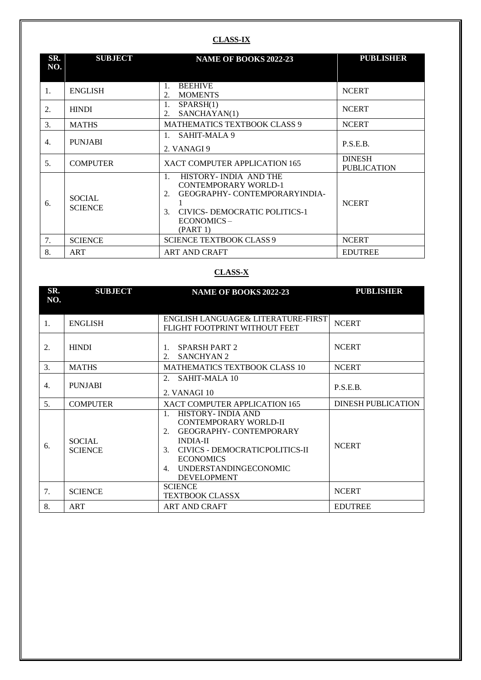### **CLASS-IX**

| SR.<br>NO. | <b>SUBJECT</b>                  | NAME OF BOOKS 2022-23                                                                                                                                                                            | <b>PUBLISHER</b>                    |
|------------|---------------------------------|--------------------------------------------------------------------------------------------------------------------------------------------------------------------------------------------------|-------------------------------------|
| 1.         | <b>ENGLISH</b>                  | <b>BEEHIVE</b><br>1.<br><b>MOMENTS</b><br>2.                                                                                                                                                     | <b>NCERT</b>                        |
| 2.         | <b>HINDI</b>                    | 1.<br>SPARSH(1)<br>SANCHAYAN(1)<br>2.                                                                                                                                                            | <b>NCERT</b>                        |
| 3.         | <b>MATHS</b>                    | MATHEMATICS TEXTBOOK CLASS 9                                                                                                                                                                     | <b>NCERT</b>                        |
| 4.         | <b>PUNJABI</b>                  | SAHIT-MALA 9<br>2. VANAGI 9                                                                                                                                                                      | P.S.E.B.                            |
| 5.         | <b>COMPUTER</b>                 | XACT COMPUTER APPLICATION 165                                                                                                                                                                    | <b>DINESH</b><br><b>PUBLICATION</b> |
| 6.         | <b>SOCIAL</b><br><b>SCIENCE</b> | HISTORY- INDIA AND THE<br>$\mathbf{1}$ .<br><b>CONTEMPORARY WORLD-1</b><br><b>GEOGRAPHY- CONTEMPORARYINDIA-</b><br>2.<br>CIVICS-DEMOCRATIC POLITICS-1<br>$\mathcal{F}$<br>ECONOMICS-<br>(PART 1) | <b>NCERT</b>                        |
| 7.         | <b>SCIENCE</b>                  | <b>SCIENCE TEXTBOOK CLASS 9</b>                                                                                                                                                                  | <b>NCERT</b>                        |
| 8.         | ART                             | <b>ART AND CRAFT</b>                                                                                                                                                                             | <b>EDUTREE</b>                      |

# **CLASS-X**

| SR.<br>NO. | <b>SUBJECT</b>                  | <b>NAME OF BOOKS 2022-23</b>                                                                                                                                                                                                                        | <b>PUBLISHER</b>          |
|------------|---------------------------------|-----------------------------------------------------------------------------------------------------------------------------------------------------------------------------------------------------------------------------------------------------|---------------------------|
| 1.         | <b>ENGLISH</b>                  | ENGLISH LANGUAGE& LITERATURE-FIRST<br>FLIGHT FOOTPRINT WITHOUT FEET                                                                                                                                                                                 | <b>NCERT</b>              |
| 2.         | <b>HINDI</b>                    | SPARSH PART 2<br>$\mathbf{1}$ .<br><b>SANCHYAN 2</b><br>$\mathcal{D}_{\mathcal{L}}$                                                                                                                                                                 | <b>NCERT</b>              |
| 3.         | <b>MATHS</b>                    | <b>MATHEMATICS TEXTBOOK CLASS 10</b>                                                                                                                                                                                                                | <b>NCERT</b>              |
| 4.         | <b>PUNJABI</b>                  | SAHIT-MALA 10<br>$\mathcal{D}_{\mathcal{L}}$<br>2. VANAGI 10                                                                                                                                                                                        | P.S.E.B.                  |
| 5.         | <b>COMPUTER</b>                 | XACT COMPUTER APPLICATION 165                                                                                                                                                                                                                       | <b>DINESH PUBLICATION</b> |
| 6.         | <b>SOCIAL</b><br><b>SCIENCE</b> | HISTORY- INDIA AND<br>$\mathbf{1}$<br><b>CONTEMPORARY WORLD-II</b><br>GEOGRAPHY- CONTEMPORARY<br>2.<br><b>INDIA-II</b><br>CIVICS - DEMOCRATICPOLITICS-II<br>3 <sub>1</sub><br><b>ECONOMICS</b><br>UNDERSTANDINGECONOMIC<br>4.<br><b>DEVELOPMENT</b> | <b>NCERT</b>              |
| 7.         | <b>SCIENCE</b>                  | <b>SCIENCE</b><br><b>TEXTBOOK CLASSX</b>                                                                                                                                                                                                            | <b>NCERT</b>              |
| 8.         | ART                             | <b>ART AND CRAFT</b>                                                                                                                                                                                                                                | <b>EDUTREE</b>            |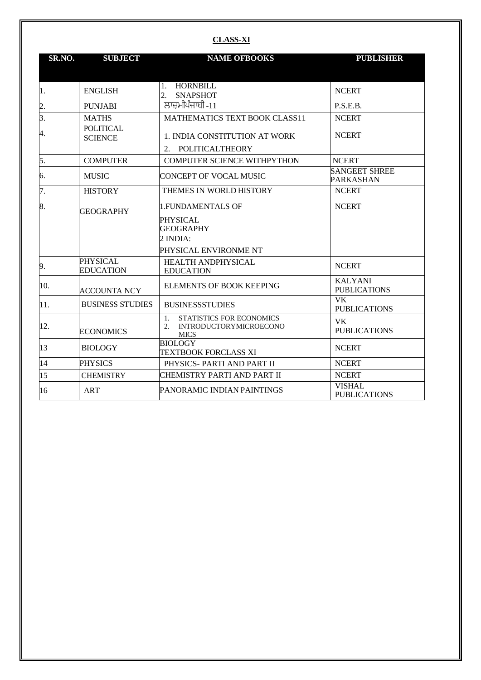### **CLASS-XI**

| SR.NO.           | <b>SUBJECT</b>                      | <b>NAME OFBOOKS</b>                                                                       | <b>PUBLISHER</b>                             |
|------------------|-------------------------------------|-------------------------------------------------------------------------------------------|----------------------------------------------|
|                  |                                     |                                                                                           |                                              |
| 1.               | <b>ENGLISH</b>                      | <b>HORNBILL</b><br>1.<br>$\overline{2}$ .<br><b>SNAPSHOT</b>                              | <b>NCERT</b>                                 |
| $\overline{2}$ . | <b>PUNJABI</b>                      | ਲਾਜ਼ਮੀਪੰਜਾਬੀ -11                                                                          | P.S.E.B.                                     |
| 3.               | <b>MATHS</b>                        | <b>MATHEMATICS TEXT BOOK CLASS11</b>                                                      | <b>NCERT</b>                                 |
| 4.               | <b>POLITICAL</b><br><b>SCIENCE</b>  | 1. INDIA CONSTITUTION AT WORK<br>POLITICALTHEORY<br>2.                                    | <b>NCERT</b>                                 |
| 5.               | <b>COMPUTER</b>                     | <b>COMPUTER SCIENCE WITHPYTHON</b>                                                        | <b>NCERT</b>                                 |
| 6.               | <b>MUSIC</b>                        | <b>CONCEPT OF VOCAL MUSIC</b>                                                             | <b>SANGEET SHREE</b><br><b>PARKASHAN</b>     |
| 7.               | <b>HISTORY</b>                      | THEMES IN WORLD HISTORY                                                                   | <b>NCERT</b>                                 |
| 8.               | <b>GEOGRAPHY</b>                    | <b>1. FUNDAMENTALS OF</b>                                                                 | <b>NCERT</b>                                 |
|                  |                                     | <b>PHYSICAL</b><br><b>GEOGRAPHY</b><br>2 INDIA:<br>PHYSICAL ENVIRONME NT                  |                                              |
| 9.               | <b>PHYSICAL</b><br><b>EDUCATION</b> | HEALTH ANDPHYSICAL<br><b>EDUCATION</b>                                                    | <b>NCERT</b>                                 |
| 10.              | <b>ACCOUNTA NCY</b>                 | ELEMENTS OF BOOK KEEPING                                                                  | <b>KALYANI</b><br><b>PUBLICATIONS</b>        |
| 11.              | <b>BUSINESS STUDIES</b>             | <b>BUSINESSSTUDIES</b>                                                                    | $\overline{\nabla K}$<br><b>PUBLICATIONS</b> |
| 12.              | <b>ECONOMICS</b>                    | STATISTICS FOR ECONOMICS<br>$1_{-}$<br><b>INTRODUCTORYMICROECONO</b><br>2.<br><b>MICS</b> | VK<br><b>PUBLICATIONS</b>                    |
| 13               | <b>BIOLOGY</b>                      | <b>BIOLOGY</b><br>TEXTBOOK FORCLASS XI                                                    | <b>NCERT</b>                                 |
| 14               | <b>PHYSICS</b>                      | PHYSICS-PARTI AND PART II                                                                 | <b>NCERT</b>                                 |
| 15               | <b>CHEMISTRY</b>                    | CHEMISTRY PARTI AND PART II                                                               | <b>NCERT</b>                                 |
| 16               | <b>ART</b>                          | PANORAMIC INDIAN PAINTINGS                                                                | <b>VISHAL</b><br><b>PUBLICATIONS</b>         |